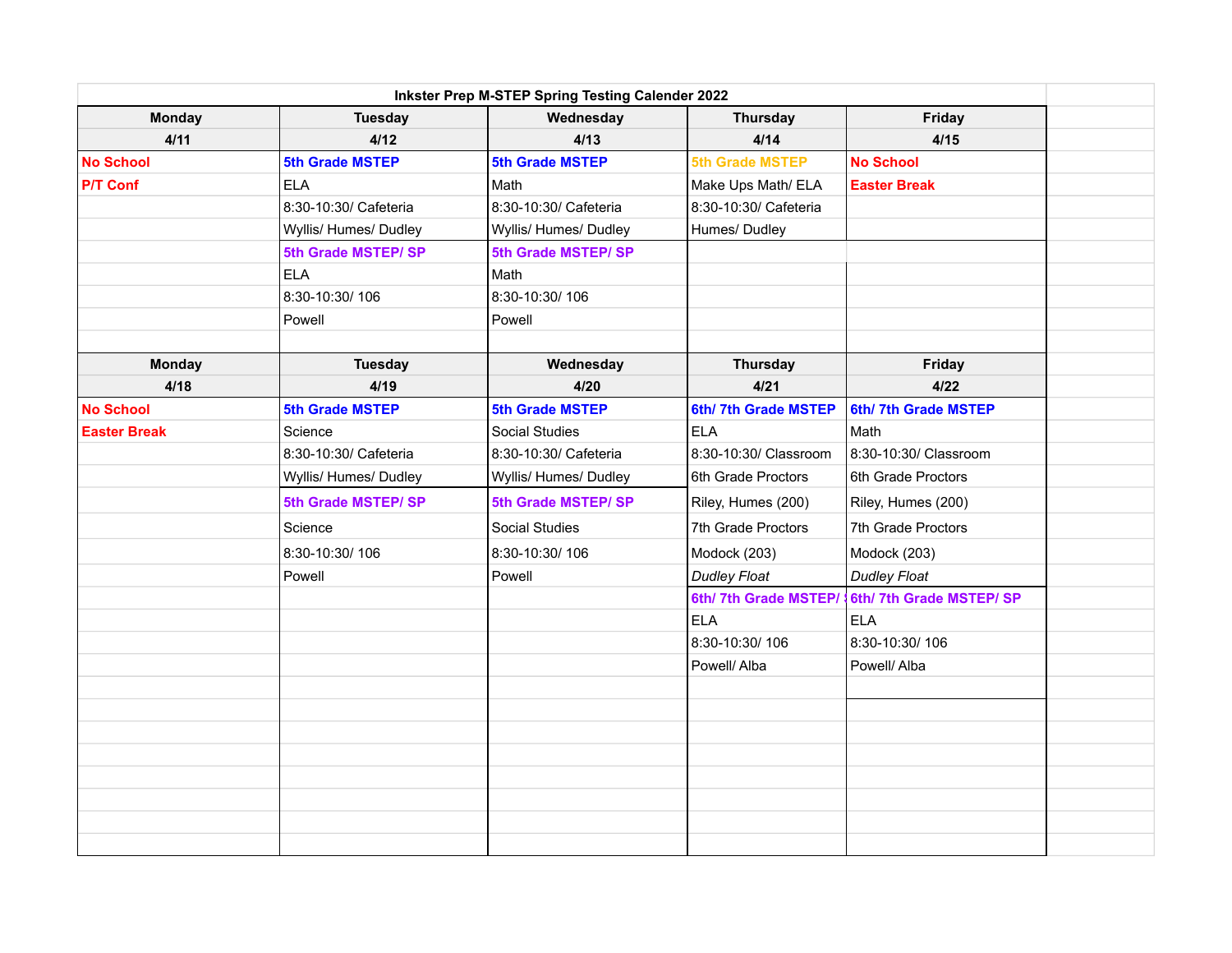| Inkster Prep M-STEP Spring Testing Calender 2022 |                        |                        |                        |                        |  |
|--------------------------------------------------|------------------------|------------------------|------------------------|------------------------|--|
| <b>Monday</b>                                    | <b>Tuesday</b>         | Wednesday              | <b>Thursday</b>        | Friday                 |  |
| 4/11                                             | 4/12                   | 4/13                   | 4/14                   | 4/15                   |  |
| <b>No School</b>                                 | <b>5th Grade MSTEP</b> | <b>5th Grade MSTEP</b> | <b>5th Grade MSTEP</b> | <b>No School</b>       |  |
| <b>P/T Conf</b>                                  | <b>ELA</b>             | Math                   | Make Ups Math/ ELA     | <b>Easter Break</b>    |  |
|                                                  | 8:30-10:30/ Cafeteria  | 8:30-10:30/ Cafeteria  | 8:30-10:30/ Cafeteria  |                        |  |
|                                                  | Wyllis/ Humes/ Dudley  | Wyllis/ Humes/ Dudley  | Humes/Dudley           |                        |  |
|                                                  | 5th Grade MSTEP/ SP    | 5th Grade MSTEP/SP     |                        |                        |  |
|                                                  | <b>ELA</b>             | Math                   |                        |                        |  |
|                                                  | 8:30-10:30/106         | 8:30-10:30/106         |                        |                        |  |
|                                                  | Powell                 | Powell                 |                        |                        |  |
|                                                  |                        |                        |                        |                        |  |
| <b>Monday</b>                                    | <b>Tuesday</b>         | Wednesday              | <b>Thursday</b>        | Friday                 |  |
| 4/18                                             | 4/19                   | 4/20                   | 4/21                   | 4/22                   |  |
| <b>No School</b>                                 | <b>5th Grade MSTEP</b> | <b>5th Grade MSTEP</b> | 6th/7th Grade MSTEP    | 6th/7th Grade MSTEP    |  |
| <b>Easter Break</b>                              | Science                | Social Studies         | <b>ELA</b>             | Math                   |  |
|                                                  | 8:30-10:30/ Cafeteria  | 8:30-10:30/ Cafeteria  | 8:30-10:30/ Classroom  | 8:30-10:30/ Classroom  |  |
|                                                  | Wyllis/ Humes/ Dudley  | Wyllis/ Humes/ Dudley  | 6th Grade Proctors     | 6th Grade Proctors     |  |
|                                                  | 5th Grade MSTEP/ SP    | 5th Grade MSTEP/ SP    | Riley, Humes (200)     | Riley, Humes (200)     |  |
|                                                  | Science                | Social Studies         | 7th Grade Proctors     | 7th Grade Proctors     |  |
|                                                  | 8:30-10:30/106         | 8:30-10:30/106         | Modock (203)           | Modock (203)           |  |
|                                                  | Powell                 | Powell                 | <b>Dudley Float</b>    | <b>Dudley Float</b>    |  |
|                                                  |                        |                        | 6th/7th Grade MSTEP/   | 6th/7th Grade MSTEP/SP |  |
|                                                  |                        |                        | <b>ELA</b>             | <b>ELA</b>             |  |
|                                                  |                        |                        | 8:30-10:30/106         | 8:30-10:30/106         |  |
|                                                  |                        |                        | Powell/ Alba           | Powell/ Alba           |  |
|                                                  |                        |                        |                        |                        |  |
|                                                  |                        |                        |                        |                        |  |
|                                                  |                        |                        |                        |                        |  |
|                                                  |                        |                        |                        |                        |  |
|                                                  |                        |                        |                        |                        |  |
|                                                  |                        |                        |                        |                        |  |
|                                                  |                        |                        |                        |                        |  |
|                                                  |                        |                        |                        |                        |  |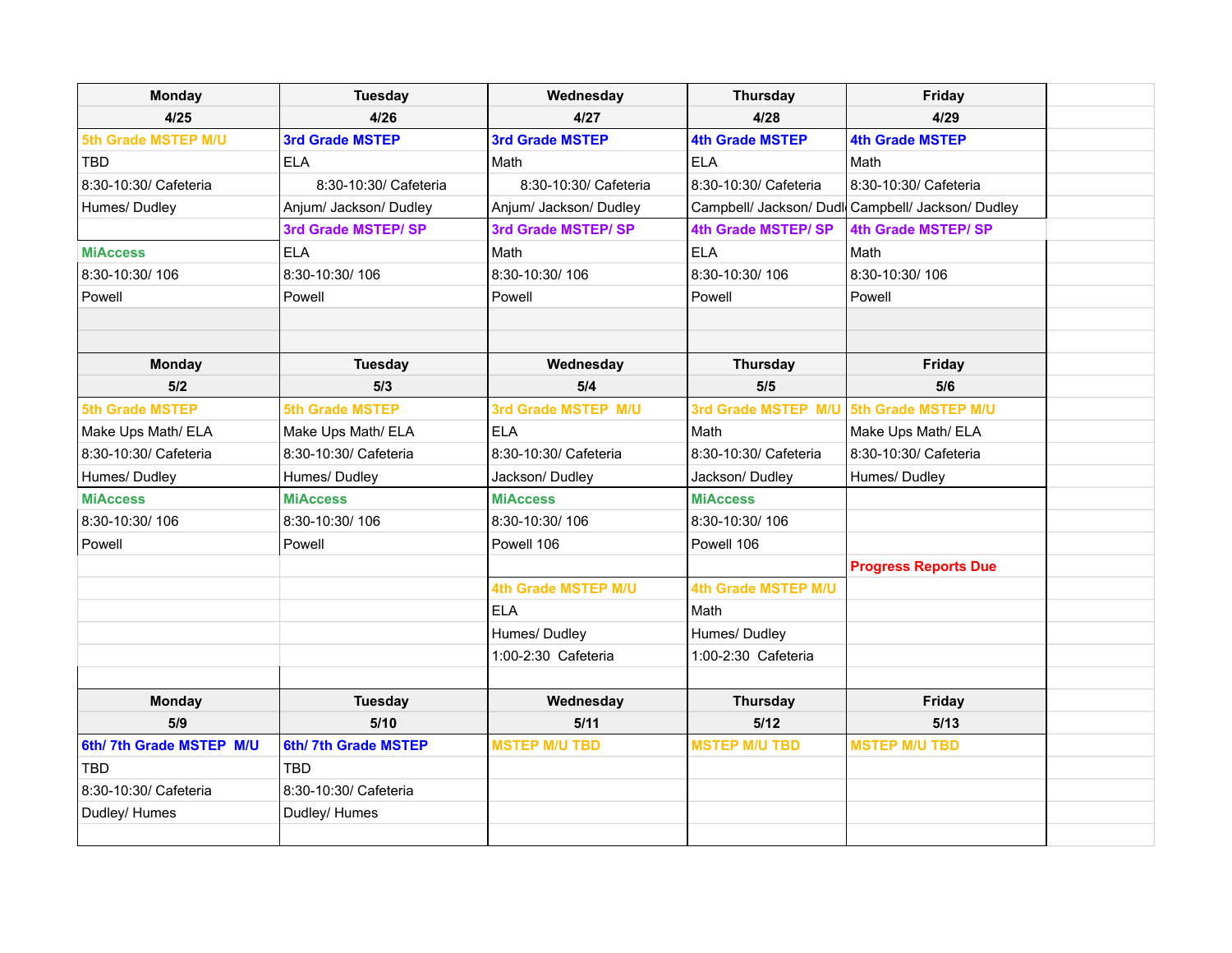| <b>Monday</b>           | <b>Tuesday</b>         | Wednesday              | <b>Thursday</b>        | Friday                                            |  |
|-------------------------|------------------------|------------------------|------------------------|---------------------------------------------------|--|
| 4/25                    | 4/26                   | 4/27                   | 4/28                   | 4/29                                              |  |
| 5th Grade MSTEP M/U     | <b>3rd Grade MSTEP</b> | <b>3rd Grade MSTEP</b> | <b>4th Grade MSTEP</b> | <b>4th Grade MSTEP</b>                            |  |
| TBD                     | <b>ELA</b>             | Math                   | <b>ELA</b>             | Math                                              |  |
| 8:30-10:30/ Cafeteria   | 8:30-10:30/ Cafeteria  | 8:30-10:30/ Cafeteria  | 8:30-10:30/ Cafeteria  | 8:30-10:30/ Cafeteria                             |  |
| Humes/Dudley            | Anjum/ Jackson/ Dudley | Anjum/ Jackson/ Dudley |                        | Campbell/ Jackson/ Dudl Campbell/ Jackson/ Dudley |  |
|                         | 3rd Grade MSTEP/ SP    | 3rd Grade MSTEP/ SP    | 4th Grade MSTEP/SP     | 4th Grade MSTEP/SP                                |  |
| <b>MiAccess</b>         | <b>ELA</b>             | Math                   | <b>ELA</b>             | Math                                              |  |
| 8:30-10:30/106          | 8:30-10:30/106         | 8:30-10:30/106         | 8:30-10:30/106         | 8:30-10:30/106                                    |  |
| Powell                  | Powell                 | Powell                 | Powell                 | Powell                                            |  |
|                         |                        |                        |                        |                                                   |  |
|                         |                        |                        |                        |                                                   |  |
| <b>Monday</b>           | <b>Tuesday</b>         | Wednesday              | <b>Thursday</b>        | Friday                                            |  |
| 5/2                     | 5/3                    | 5/4                    | 5/5                    | 5/6                                               |  |
| <b>5th Grade MSTEP</b>  | <b>5th Grade MSTEP</b> | 3rd Grade MSTEP M/U    | 3rd Grade MSTEP M/U    | 5th Grade MSTEP M/U                               |  |
| Make Ups Math/ ELA      | Make Ups Math/ ELA     | <b>ELA</b>             | Math                   | Make Ups Math/ ELA                                |  |
| 8:30-10:30/ Cafeteria   | 8:30-10:30/ Cafeteria  | 8:30-10:30/ Cafeteria  | 8:30-10:30/ Cafeteria  | 8:30-10:30/ Cafeteria                             |  |
| Humes/ Dudley           | Humes/Dudley           | Jackson/ Dudley        | Jackson/ Dudley        | Humes/ Dudley                                     |  |
| <b>MiAccess</b>         | <b>MiAccess</b>        | <b>MiAccess</b>        | <b>MiAccess</b>        |                                                   |  |
| 8:30-10:30/106          | 8:30-10:30/106         | 8:30-10:30/106         | 8:30-10:30/106         |                                                   |  |
| Powell                  | Powell                 | Powell 106             | Powell 106             |                                                   |  |
|                         |                        |                        |                        | <b>Progress Reports Due</b>                       |  |
|                         |                        | 4th Grade MSTEP M/U    | 4th Grade MSTEP M/U    |                                                   |  |
|                         |                        | <b>ELA</b>             | Math                   |                                                   |  |
|                         |                        | Humes/Dudley           | Humes/Dudley           |                                                   |  |
|                         |                        | 1:00-2:30 Cafeteria    | 1:00-2:30 Cafeteria    |                                                   |  |
|                         |                        |                        |                        |                                                   |  |
| <b>Monday</b>           | <b>Tuesday</b>         | Wednesday              | <b>Thursday</b>        | Friday                                            |  |
| 5/9                     | 5/10                   | 5/11                   | 5/12                   | 5/13                                              |  |
| 6th/7th Grade MSTEP M/U | 6th/7th Grade MSTEP    | <b>MSTEP M/U TBD</b>   | <b>MSTEP M/U TBD</b>   | <b>MSTEP M/U TBD</b>                              |  |
| TBD                     | TBD                    |                        |                        |                                                   |  |
| 8:30-10:30/ Cafeteria   | 8:30-10:30/ Cafeteria  |                        |                        |                                                   |  |
| Dudley/ Humes           | Dudley/ Humes          |                        |                        |                                                   |  |
|                         |                        |                        |                        |                                                   |  |